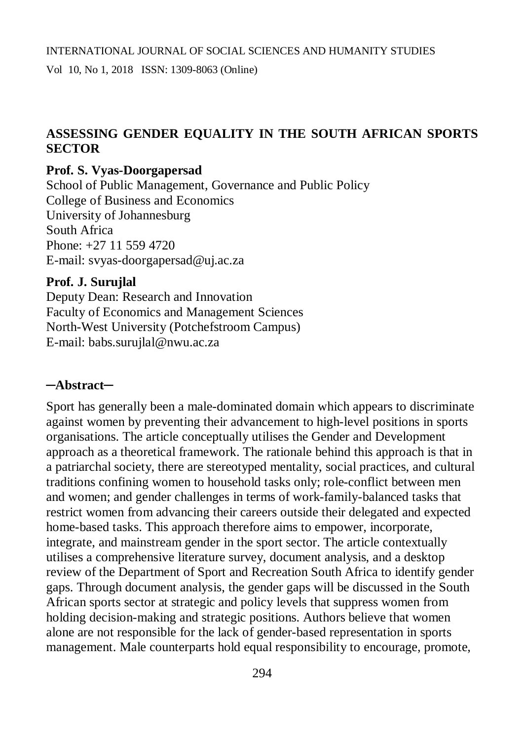# **ASSESSING GENDER EQUALITY IN THE SOUTH AFRICAN SPORTS SECTOR**

#### **Prof. S. Vyas-Doorgapersad**

School of Public Management, Governance and Public Policy College of Business and Economics University of Johannesburg South Africa Phone: +27 11 559 4720 E-mail: [svyas-doorgapersad@uj.ac.za](mailto:svyas-doorgapersad@uj.ac.za)

#### **Prof. J. Surujlal**

Deputy Dean: Research and Innovation Faculty of Economics and Management Sciences North-West University (Potchefstroom Campus) E-mail: [babs.surujlal@nwu.ac.za](mailto:babs.surujlal@nwu.ac.za)

#### **─Abstract─**

Sport has generally been a male-dominated domain which appears to discriminate against women by preventing their advancement to high-level positions in sports organisations. The article conceptually utilises the Gender and Development approach as a theoretical framework. The rationale behind this approach is that in a patriarchal society, there are stereotyped mentality, social practices, and cultural traditions confining women to household tasks only; role-conflict between men and women; and gender challenges in terms of work-family-balanced tasks that restrict women from advancing their careers outside their delegated and expected home-based tasks. This approach therefore aims to empower, incorporate, integrate, and mainstream gender in the sport sector. The article contextually utilises a comprehensive literature survey, document analysis, and a desktop review of the Department of Sport and Recreation South Africa to identify gender gaps. Through document analysis, the gender gaps will be discussed in the South African sports sector at strategic and policy levels that suppress women from holding decision-making and strategic positions. Authors believe that women alone are not responsible for the lack of gender-based representation in sports management. Male counterparts hold equal responsibility to encourage, promote,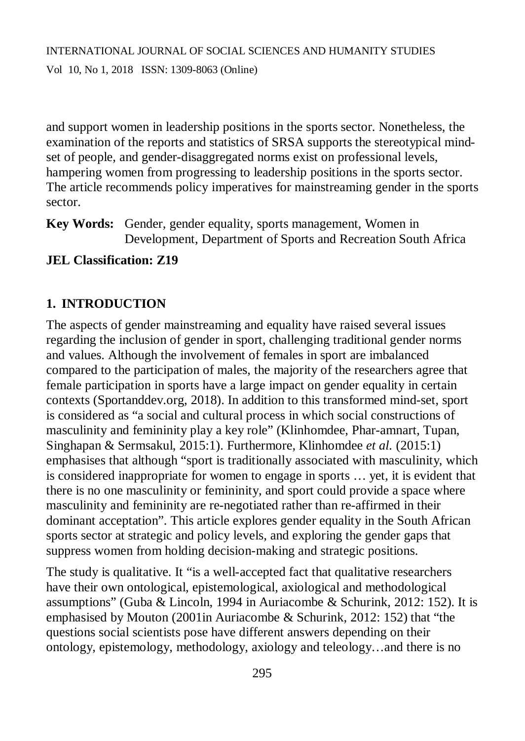and support women in leadership positions in the sports sector. Nonetheless, the examination of the reports and statistics of SRSA supports the stereotypical mindset of people, and gender-disaggregated norms exist on professional levels, hampering women from progressing to leadership positions in the sports sector. The article recommends policy imperatives for mainstreaming gender in the sports sector.

**Key Words:** Gender, gender equality, sports management, Women in Development, Department of Sports and Recreation South Africa

# **JEL Classification: Z19**

# **1. INTRODUCTION**

The aspects of gender mainstreaming and equality have raised several issues regarding the inclusion of gender in sport, challenging traditional gender norms and values. Although the involvement of females in sport are imbalanced compared to the participation of males, the majority of the researchers agree that female participation in sports have a large impact on gender equality in certain contexts (Sportanddev.org, 2018). In addition to this transformed mind-set, sport is considered as "a social and cultural process in which social constructions of masculinity and femininity play a key role" (Klinhomdee, Phar-amnart, Tupan, Singhapan & Sermsakul, 2015:1). Furthermore, Klinhomdee *et al.* (2015:1) emphasises that although "sport is traditionally associated with masculinity, which is considered inappropriate for women to engage in sports … yet, it is evident that there is no one masculinity or femininity, and sport could provide a space where masculinity and femininity are re-negotiated rather than re-affirmed in their dominant acceptation". This article explores gender equality in the South African sports sector at strategic and policy levels, and exploring the gender gaps that suppress women from holding decision-making and strategic positions.

The study is qualitative. It "is a well-accepted fact that qualitative researchers have their own ontological, epistemological, axiological and methodological assumptions" (Guba & Lincoln, 1994 in Auriacombe & Schurink, 2012: 152). It is emphasised by Mouton (2001in Auriacombe & Schurink, 2012: 152) that "the questions social scientists pose have different answers depending on their ontology, epistemology, methodology, axiology and teleology…and there is no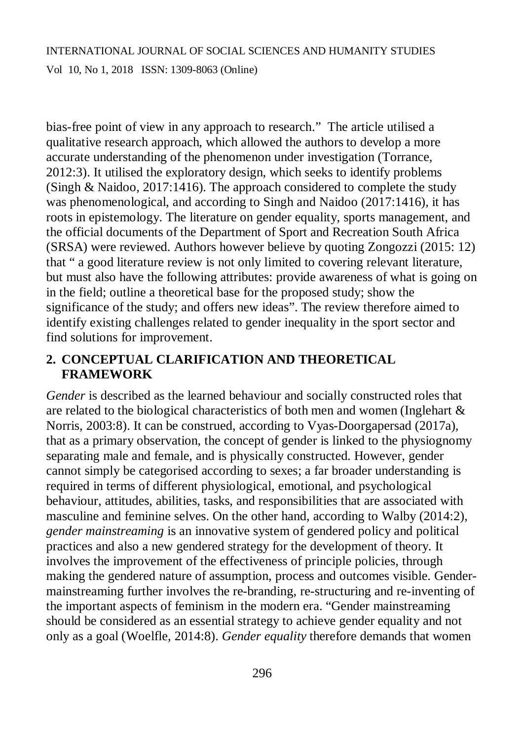bias-free point of view in any approach to research." The article utilised a qualitative research approach, which allowed the authors to develop a more accurate understanding of the phenomenon under investigation (Torrance, 2012:3). It utilised the exploratory design, which seeks to identify problems (Singh & Naidoo, 2017:1416). The approach considered to complete the study was phenomenological, and according to Singh and Naidoo (2017:1416), it has roots in epistemology. The literature on gender equality, sports management, and the official documents of the Department of Sport and Recreation South Africa (SRSA) were reviewed. Authors however believe by quoting Zongozzi (2015: 12) that " a good literature review is not only limited to covering relevant literature, but must also have the following attributes: provide awareness of what is going on in the field; outline a theoretical base for the proposed study; show the significance of the study; and offers new ideas". The review therefore aimed to identify existing challenges related to gender inequality in the sport sector and find solutions for improvement.

# **2. CONCEPTUAL CLARIFICATION AND THEORETICAL FRAMEWORK**

*Gender* is described as the learned behaviour and socially constructed roles that are related to the biological characteristics of both men and women (Inglehart & Norris, 2003:8). It can be construed, according to Vyas-Doorgapersad (2017a), that as a primary observation, the concept of gender is linked to the physiognomy separating male and female, and is physically constructed. However, gender cannot simply be categorised according to sexes; a far broader understanding is required in terms of different physiological, emotional, and psychological behaviour, attitudes, abilities, tasks, and responsibilities that are associated with masculine and feminine selves. On the other hand, according to Walby (2014:2), *gender mainstreaming* is an innovative system of gendered policy and political practices and also a new gendered strategy for the development of theory. It involves the improvement of the effectiveness of principle policies, through making the gendered nature of assumption, process and outcomes visible. Gendermainstreaming further involves the re-branding, re-structuring and re-inventing of the important aspects of feminism in the modern era. "Gender mainstreaming should be considered as an essential strategy to achieve gender equality and not only as a goal (Woelfle, 2014:8). *Gender equality* therefore demands that women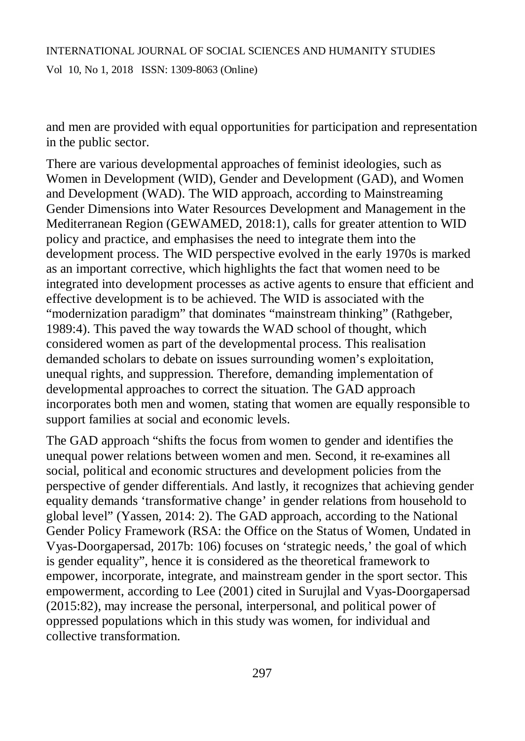and men are provided with equal opportunities for participation and representation in the public sector.

There are various developmental approaches of feminist ideologies, such as Women in Development (WID), Gender and Development (GAD), and Women and Development (WAD). The WID approach, according to Mainstreaming Gender Dimensions into Water Resources Development and Management in the Mediterranean Region (GEWAMED, 2018:1), calls for greater attention to WID policy and practice, and emphasises the need to integrate them into the development process. The WID perspective evolved in the early 1970s is marked as an important corrective, which highlights the fact that women need to be integrated into development processes as active agents to ensure that efficient and effective development is to be achieved. The WID is associated with the "modernization paradigm" that dominates "mainstream thinking" (Rathgeber, 1989:4). This paved the way towards the WAD school of thought, which considered women as part of the developmental process. This realisation demanded scholars to debate on issues surrounding women's exploitation, unequal rights, and suppression. Therefore, demanding implementation of developmental approaches to correct the situation. The GAD approach incorporates both men and women, stating that women are equally responsible to support families at social and economic levels.

The GAD approach "shifts the focus from women to gender and identifies the unequal power relations between women and men. Second, it re-examines all social, political and economic structures and development policies from the perspective of gender differentials. And lastly, it recognizes that achieving gender equality demands 'transformative change' in gender relations from household to global level" (Yassen, 2014: 2). The GAD approach, according to the National Gender Policy Framework (RSA: the Office on the Status of Women, Undated in Vyas-Doorgapersad, 2017b: 106) focuses on 'strategic needs,' the goal of which is gender equality", hence it is considered as the theoretical framework to empower, incorporate, integrate, and mainstream gender in the sport sector. This empowerment, according to Lee (2001) cited in Surujlal and Vyas-Doorgapersad (2015:82), may increase the personal, interpersonal, and political power of oppressed populations which in this study was women, for individual and collective transformation.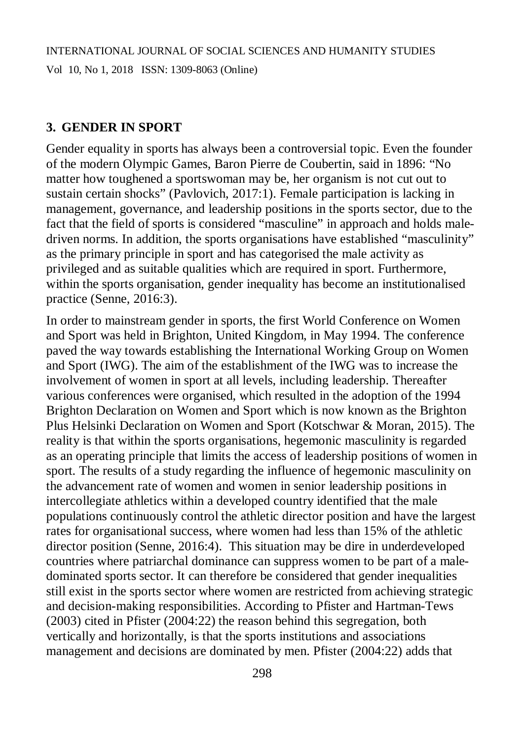#### **3. GENDER IN SPORT**

Gender equality in sports has always been a controversial topic. Even the founder of the modern Olympic Games, Baron Pierre de Coubertin, said in 1896: "No matter how toughened a sportswoman may be, her organism is not cut out to sustain certain shocks" (Pavlovich, 2017:1). Female participation is lacking in management, governance, and leadership positions in the sports sector, due to the fact that the field of sports is considered "masculine" in approach and holds maledriven norms. In addition, the sports organisations have established "masculinity" as the primary principle in sport and has categorised the male activity as privileged and as suitable qualities which are required in sport. Furthermore, within the sports organisation, gender inequality has become an institutionalised practice (Senne, 2016:3).

In order to mainstream gender in sports, the first World Conference on Women and Sport was held in Brighton, United Kingdom, in May 1994. The conference paved the way towards establishing the International Working Group on Women and Sport (IWG). The aim of the establishment of the IWG was to increase the involvement of women in sport at all levels, including leadership. Thereafter various conferences were organised, which resulted in the adoption of the 1994 Brighton Declaration on Women and Sport which is now known as the Brighton Plus Helsinki Declaration on Women and Sport (Kotschwar & Moran, 2015). The reality is that within the sports organisations, hegemonic masculinity is regarded as an operating principle that limits the access of leadership positions of women in sport. The results of a study regarding the influence of hegemonic masculinity on the advancement rate of women and women in senior leadership positions in intercollegiate athletics within a developed country identified that the male populations continuously control the athletic director position and have the largest rates for organisational success, where women had less than 15% of the athletic director position (Senne, 2016:4). This situation may be dire in underdeveloped countries where patriarchal dominance can suppress women to be part of a maledominated sports sector. It can therefore be considered that gender inequalities still exist in the sports sector where women are restricted from achieving strategic and decision-making responsibilities. According to Pfister and Hartman-Tews (2003) cited in Pfister (2004:22) the reason behind this segregation, both vertically and horizontally, is that the sports institutions and associations management and decisions are dominated by men. Pfister (2004:22) adds that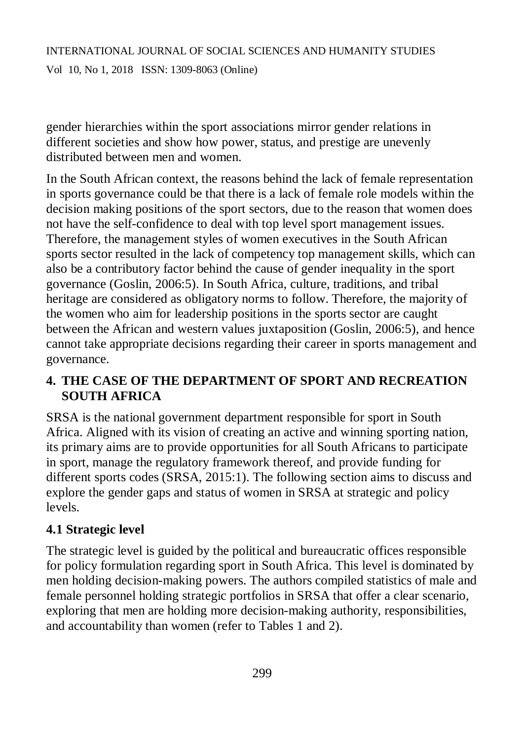Vol 10, No 1, 2018 ISSN: 1309-8063 (Online)

gender hierarchies within the sport associations mirror gender relations in different societies and show how power, status, and prestige are unevenly distributed between men and women.

In the South African context, the reasons behind the lack of female representation in sports governance could be that there is a lack of female role models within the decision making positions of the sport sectors, due to the reason that women does not have the self-confidence to deal with top level sport management issues. Therefore, the management styles of women executives in the South African sports sector resulted in the lack of competency top management skills, which can also be a contributory factor behind the cause of gender inequality in the sport governance (Goslin, 2006:5). In South Africa, culture, traditions, and tribal heritage are considered as obligatory norms to follow. Therefore, the majority of the women who aim for leadership positions in the sports sector are caught between the African and western values juxtaposition (Goslin, 2006:5), and hence cannot take appropriate decisions regarding their career in sports management and governance.

# **4. THE CASE OF THE DEPARTMENT OF SPORT AND RECREATION SOUTH AFRICA**

SRSA is the national government department responsible for sport in South Africa. Aligned with its vision of creating an active and winning sporting nation*,* its primary aims are to provide opportunities for all South Africans to participate in sport, manage the regulatory framework thereof, and provide funding for different sports codes (SRSA, 2015:1). The following section aims to discuss and explore the gender gaps and status of women in SRSA at strategic and policy levels.

# **4.1 Strategic level**

The strategic level is guided by the political and bureaucratic offices responsible for policy formulation regarding sport in South Africa. This level is dominated by men holding decision-making powers. The authors compiled statistics of male and female personnel holding strategic portfolios in SRSA that offer a clear scenario, exploring that men are holding more decision-making authority, responsibilities, and accountability than women (refer to Tables 1 and 2).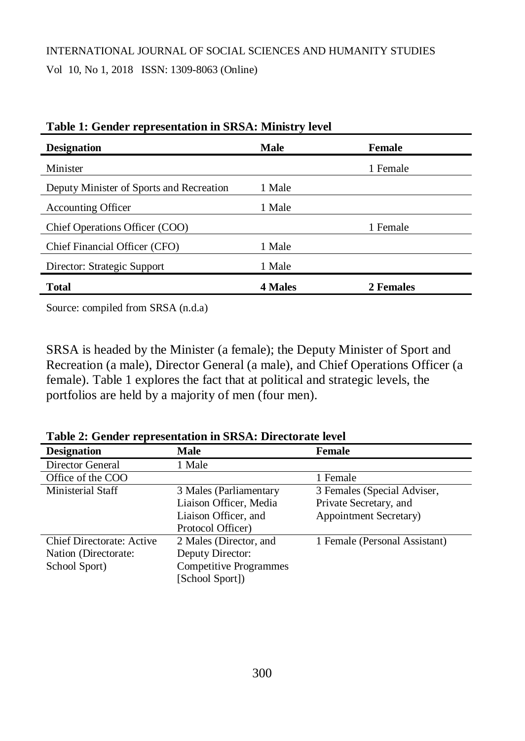# INTERNATIONAL JOURNAL OF SOCIAL SCIENCES AND HUMANITY STUDIES Vol 10, No 1, 2018 ISSN: 1309-8063 (Online)

| <b>Designation</b>                       | <b>Male</b>    | Female    |
|------------------------------------------|----------------|-----------|
| Minister                                 |                | 1 Female  |
| Deputy Minister of Sports and Recreation | 1 Male         |           |
| <b>Accounting Officer</b>                | 1 Male         |           |
| Chief Operations Officer (COO)           |                | 1 Female  |
| Chief Financial Officer (CFO)            | 1 Male         |           |
| Director: Strategic Support              | 1 Male         |           |
| <b>Total</b>                             | <b>4 Males</b> | 2 Females |

| Table 1: Gender representation in SRSA: Ministry level |  |  |  |
|--------------------------------------------------------|--|--|--|
|--------------------------------------------------------|--|--|--|

Source: compiled from SRSA (n.d.a)

SRSA is headed by the Minister (a female); the Deputy Minister of Sport and Recreation (a male), Director General (a male), and Chief Operations Officer (a female). Table 1 explores the fact that at political and strategic levels, the portfolios are held by a majority of men (four men).

| Table 2. Ochaci Tepresentation in Broth, Bh ectorate level |                               |                                |
|------------------------------------------------------------|-------------------------------|--------------------------------|
| <b>Designation</b>                                         | Male                          | <b>Female</b>                  |
| Director General                                           | 1 Male                        |                                |
| Office of the COO                                          |                               | 1 Female                       |
| Ministerial Staff                                          | 3 Males (Parliamentary        | 3 Females (Special Adviser,    |
|                                                            | Liaison Officer, Media        | Private Secretary, and         |
|                                                            | Liaison Officer, and          | <b>Appointment Secretary</b> ) |
|                                                            | Protocol Officer)             |                                |
| Chief Directorate: Active                                  | 2 Males (Director, and        | 1 Female (Personal Assistant)  |
| Nation (Directorate:                                       | Deputy Director:              |                                |
| School Sport)                                              | <b>Competitive Programmes</b> |                                |
|                                                            | [School Sport])               |                                |

**Table 2: Gender representation in SRSA: Directorate level**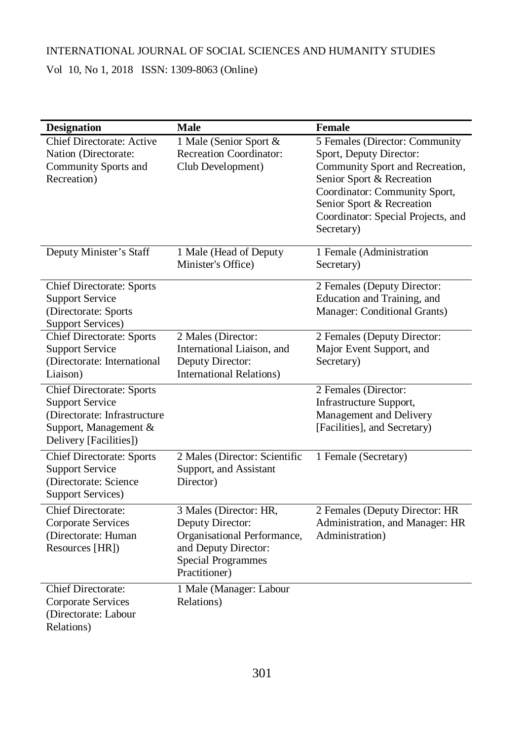Vol 10, No 1, 2018 ISSN: 1309-8063 (Online)

| <b>Designation</b>                                                                                                                            | <b>Male</b>                                                                                                                                     | <b>Female</b>                                                                                                                                                                                                                               |
|-----------------------------------------------------------------------------------------------------------------------------------------------|-------------------------------------------------------------------------------------------------------------------------------------------------|---------------------------------------------------------------------------------------------------------------------------------------------------------------------------------------------------------------------------------------------|
| <b>Chief Directorate: Active</b><br>Nation (Directorate:<br>Community Sports and<br>Recreation)                                               | 1 Male (Senior Sport &<br><b>Recreation Coordinator:</b><br>Club Development)                                                                   | 5 Females (Director: Community<br>Sport, Deputy Director:<br>Community Sport and Recreation,<br>Senior Sport & Recreation<br>Coordinator: Community Sport,<br>Senior Sport & Recreation<br>Coordinator: Special Projects, and<br>Secretary) |
| Deputy Minister's Staff                                                                                                                       | 1 Male (Head of Deputy<br>Minister's Office)                                                                                                    | 1 Female (Administration<br>Secretary)                                                                                                                                                                                                      |
| <b>Chief Directorate: Sports</b><br><b>Support Service</b><br>(Directorate: Sports<br><b>Support Services)</b>                                |                                                                                                                                                 | 2 Females (Deputy Director:<br>Education and Training, and<br>Manager: Conditional Grants)                                                                                                                                                  |
| Chief Directorate: Sports<br><b>Support Service</b><br>(Directorate: International<br>Liaison)                                                | 2 Males (Director:<br>International Liaison, and<br>Deputy Director:<br><b>International Relations)</b>                                         | 2 Females (Deputy Director:<br>Major Event Support, and<br>Secretary)                                                                                                                                                                       |
| <b>Chief Directorate: Sports</b><br><b>Support Service</b><br>(Directorate: Infrastructure<br>Support, Management &<br>Delivery [Facilities]) |                                                                                                                                                 | 2 Females (Director:<br>Infrastructure Support,<br>Management and Delivery<br>[Facilities], and Secretary)                                                                                                                                  |
| <b>Chief Directorate: Sports</b><br><b>Support Service</b><br>(Directorate: Science<br><b>Support Services)</b>                               | 2 Males (Director: Scientific<br>Support, and Assistant<br>Director)                                                                            | 1 Female (Secretary)                                                                                                                                                                                                                        |
| <b>Chief Directorate:</b><br>Corporate Services<br>(Directorate: Human<br>Resources [HR])                                                     | 3 Males (Director: HR,<br>Deputy Director:<br>Organisational Performance,<br>and Deputy Director:<br><b>Special Programmes</b><br>Practitioner) | 2 Females (Deputy Director: HR<br>Administration, and Manager: HR<br>Administration)                                                                                                                                                        |
| <b>Chief Directorate:</b><br>Corporate Services<br>(Directorate: Labour<br>Relations)                                                         | 1 Male (Manager: Labour<br>Relations)                                                                                                           |                                                                                                                                                                                                                                             |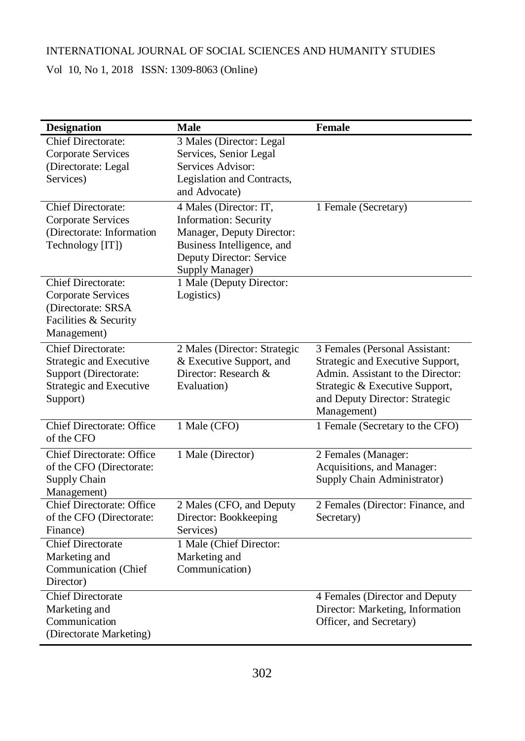Vol 10, No 1, 2018 ISSN: 1309-8063 (Online)

| <b>Designation</b>                                                                                                   | <b>Male</b>                                                                                                                                                      | <b>Female</b>                                                                                                                                                                              |
|----------------------------------------------------------------------------------------------------------------------|------------------------------------------------------------------------------------------------------------------------------------------------------------------|--------------------------------------------------------------------------------------------------------------------------------------------------------------------------------------------|
| <b>Chief Directorate:</b><br>Corporate Services<br>(Directorate: Legal<br>Services)                                  | 3 Males (Director: Legal<br>Services, Senior Legal<br>Services Advisor:<br>Legislation and Contracts,<br>and Advocate)                                           |                                                                                                                                                                                            |
| <b>Chief Directorate:</b><br>Corporate Services<br>(Directorate: Information<br>Technology [IT])                     | 4 Males (Director: IT,<br><b>Information: Security</b><br>Manager, Deputy Director:<br>Business Intelligence, and<br>Deputy Director: Service<br>Supply Manager) | 1 Female (Secretary)                                                                                                                                                                       |
| <b>Chief Directorate:</b><br>Corporate Services<br>(Directorate: SRSA<br>Facilities & Security<br>Management)        | 1 Male (Deputy Director:<br>Logistics)                                                                                                                           |                                                                                                                                                                                            |
| <b>Chief Directorate:</b><br>Strategic and Executive<br>Support (Directorate:<br>Strategic and Executive<br>Support) | 2 Males (Director: Strategic<br>& Executive Support, and<br>Director: Research &<br>Evaluation)                                                                  | 3 Females (Personal Assistant:<br>Strategic and Executive Support,<br>Admin. Assistant to the Director:<br>Strategic & Executive Support,<br>and Deputy Director: Strategic<br>Management) |
| <b>Chief Directorate: Office</b><br>of the CFO                                                                       | 1 Male (CFO)                                                                                                                                                     | 1 Female (Secretary to the CFO)                                                                                                                                                            |
| <b>Chief Directorate: Office</b><br>of the CFO (Directorate:<br>Supply Chain<br>Management)                          | 1 Male (Director)                                                                                                                                                | 2 Females (Manager:<br>Acquisitions, and Manager:<br>Supply Chain Administrator)                                                                                                           |
| <b>Chief Directorate: Office</b><br>of the CFO (Directorate:<br>Finance)                                             | 2 Males (CFO, and Deputy<br>Director: Bookkeeping<br>Services)                                                                                                   | 2 Females (Director: Finance, and<br>Secretary)                                                                                                                                            |
| <b>Chief Directorate</b><br>Marketing and<br>Communication (Chief<br>Director)                                       | 1 Male (Chief Director:<br>Marketing and<br>Communication)                                                                                                       |                                                                                                                                                                                            |
| <b>Chief Directorate</b><br>Marketing and<br>Communication<br>(Directorate Marketing)                                |                                                                                                                                                                  | 4 Females (Director and Deputy<br>Director: Marketing, Information<br>Officer, and Secretary)                                                                                              |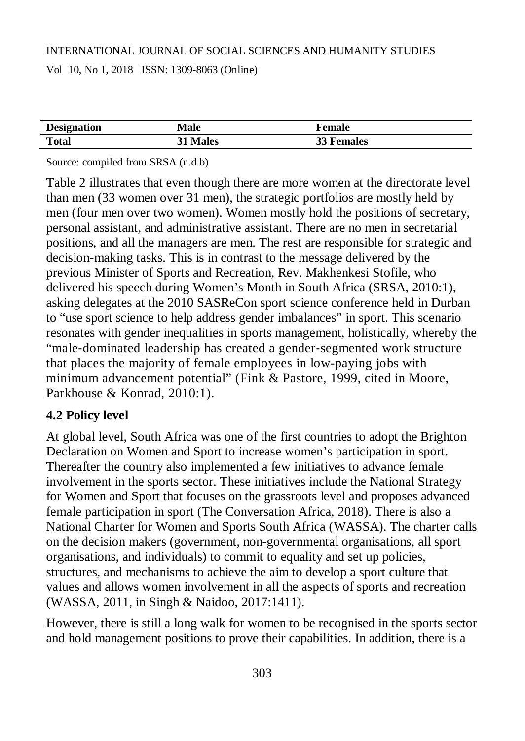Vol 10, No 1, 2018 ISSN: 1309-8063 (Online)

| <b>Designation</b> | Male            | Female            |
|--------------------|-----------------|-------------------|
| <b>Total</b>       | <b>31 Males</b> | <b>33 Females</b> |

Source: compiled from SRSA (n.d.b)

Table 2 illustrates that even though there are more women at the directorate level than men (33 women over 31 men), the strategic portfolios are mostly held by men (four men over two women). Women mostly hold the positions of secretary, personal assistant, and administrative assistant. There are no men in secretarial positions, and all the managers are men. The rest are responsible for strategic and decision-making tasks. This is in contrast to the message delivered by the previous Minister of Sports and Recreation, Rev. Makhenkesi Stofile, who delivered his speech during Women's Month in South Africa (SRSA, 2010:1), asking delegates at the 2010 SASReCon sport science conference held in Durban to "use sport science to help address gender imbalances" in sport. This scenario resonates with gender inequalities in sports management, holistically, whereby the "male‐dominated leadership has created a gender‐segmented work structure that places the majority of female employees in low-paying jobs with minimum advancement potential" (Fink & Pastore, 1999, cited in Moore, Parkhouse & Konrad, 2010:1).

# **4.2 Policy level**

At global level, South Africa was one of the first countries to adopt the Brighton Declaration on Women and Sport to increase women's participation in sport. Thereafter the country also implemented a few initiatives to advance female involvement in the sports sector. These initiatives include the National Strategy for Women and Sport that focuses on the grassroots level and proposes advanced female participation in sport (The Conversation Africa, 2018). There is also a National Charter for Women and Sports South Africa (WASSA). The charter calls on the decision makers (government, non-governmental organisations, all sport organisations, and individuals) to commit to equality and set up policies, structures, and mechanisms to achieve the aim to develop a sport culture that values and allows women involvement in all the aspects of sports and recreation (WASSA, 2011, in Singh & Naidoo, 2017:1411).

However, there is still a long walk for women to be recognised in the sports sector and hold management positions to prove their capabilities. In addition, there is a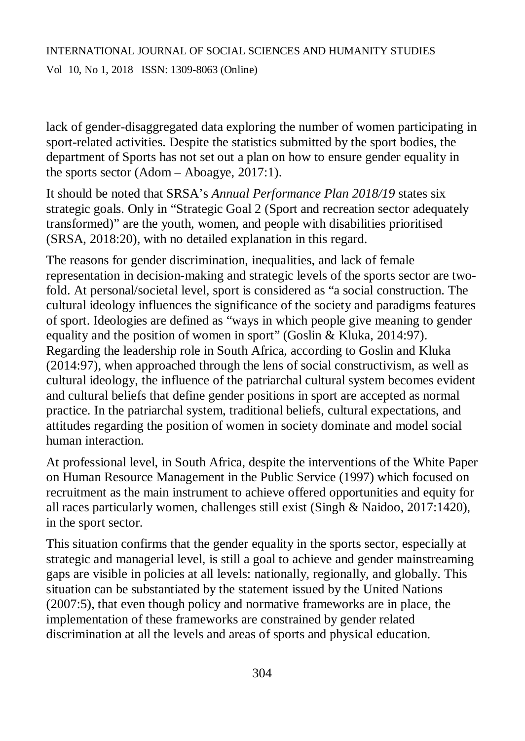Vol 10, No 1, 2018 ISSN: 1309-8063 (Online)

lack of gender-disaggregated data exploring the number of women participating in sport-related activities. Despite the statistics submitted by the sport bodies, the department of Sports has not set out a plan on how to ensure gender equality in the sports sector (Adom – Aboagye, 2017:1).

It should be noted that SRSA's *Annual Performance Plan 2018/19* states six strategic goals. Only in "Strategic Goal 2 (Sport and recreation sector adequately transformed)" are the youth, women, and people with disabilities prioritised (SRSA, 2018:20), with no detailed explanation in this regard.

The reasons for gender discrimination, inequalities, and lack of female representation in decision-making and strategic levels of the sports sector are twofold. At personal/societal level, sport is considered as "a social construction. The cultural ideology influences the significance of the society and paradigms features of sport. Ideologies are defined as "ways in which people give meaning to gender equality and the position of women in sport" (Goslin & Kluka, 2014:97). Regarding the leadership role in South Africa, according to Goslin and Kluka (2014:97), when approached through the lens of social constructivism, as well as cultural ideology, the influence of the patriarchal cultural system becomes evident and cultural beliefs that define gender positions in sport are accepted as normal practice. In the patriarchal system, traditional beliefs, cultural expectations, and attitudes regarding the position of women in society dominate and model social human interaction.

At professional level, in South Africa, despite the interventions of the White Paper on Human Resource Management in the Public Service (1997) which focused on recruitment as the main instrument to achieve offered opportunities and equity for all races particularly women, challenges still exist (Singh & Naidoo, 2017:1420), in the sport sector.

This situation confirms that the gender equality in the sports sector, especially at strategic and managerial level, is still a goal to achieve and gender mainstreaming gaps are visible in policies at all levels: nationally, regionally, and globally. This situation can be substantiated by the statement issued by the United Nations (2007:5), that even though policy and normative frameworks are in place, the implementation of these frameworks are constrained by gender related discrimination at all the levels and areas of sports and physical education.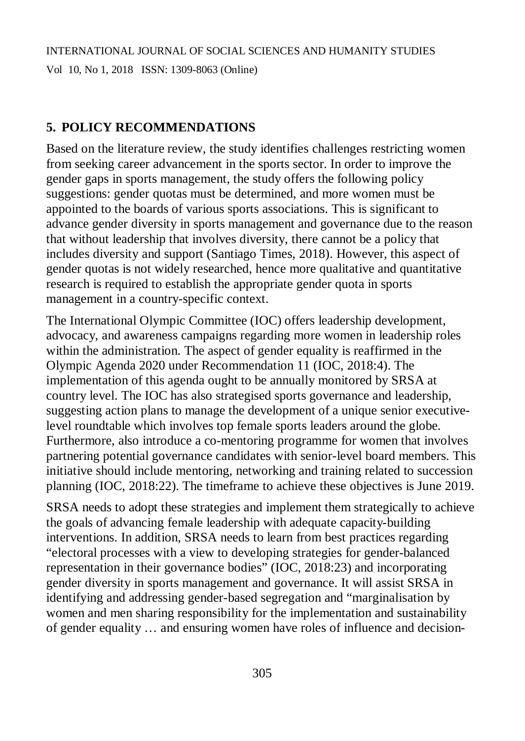# **5. POLICY RECOMMENDATIONS**

Based on the literature review, the study identifies challenges restricting women from seeking career advancement in the sports sector. In order to improve the gender gaps in sports management, the study offers the following policy suggestions: gender quotas must be determined, and more women must be appointed to the boards of various sports associations. This is significant to advance gender diversity in sports management and governance due to the reason that without leadership that involves diversity, there cannot be a policy that includes diversity and support (Santiago Times, 2018). However, this aspect of gender quotas is not widely researched, hence more qualitative and quantitative research is required to establish the appropriate gender quota in sports management in a country-specific context.

The International Olympic Committee (IOC) offers leadership development, advocacy, and awareness campaigns regarding more women in leadership roles within the administration. The aspect of gender equality is reaffirmed in the Olympic Agenda 2020 under Recommendation 11 (IOC, 2018:4). The implementation of this agenda ought to be annually monitored by SRSA at country level. The IOC has also strategised sports governance and leadership, suggesting action plans to manage the development of a unique senior executivelevel roundtable which involves top female sports leaders around the globe. Furthermore, also introduce a co-mentoring programme for women that involves partnering potential governance candidates with senior-level board members. This initiative should include mentoring, networking and training related to succession planning (IOC, 2018:22). The timeframe to achieve these objectives is June 2019.

SRSA needs to adopt these strategies and implement them strategically to achieve the goals of advancing female leadership with adequate capacity-building interventions. In addition, SRSA needs to learn from best practices regarding "electoral processes with a view to developing strategies for gender-balanced representation in their governance bodies" (IOC, 2018:23) and incorporating gender diversity in sports management and governance. It will assist SRSA in identifying and addressing gender-based segregation and "marginalisation by women and men sharing responsibility for the implementation and sustainability of gender equality … and ensuring women have roles of influence and decision-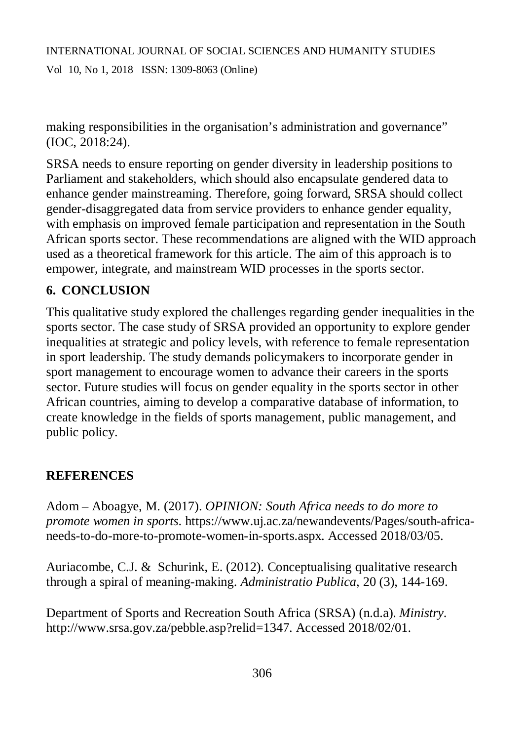making responsibilities in the organisation's administration and governance" (IOC, 2018:24).

SRSA needs to ensure reporting on gender diversity in leadership positions to Parliament and stakeholders, which should also encapsulate gendered data to enhance gender mainstreaming. Therefore, going forward, SRSA should collect gender-disaggregated data from service providers to enhance gender equality, with emphasis on improved female participation and representation in the South African sports sector. These recommendations are aligned with the WID approach used as a theoretical framework for this article. The aim of this approach is to empower, integrate, and mainstream WID processes in the sports sector.

# **6. CONCLUSION**

This qualitative study explored the challenges regarding gender inequalities in the sports sector. The case study of SRSA provided an opportunity to explore gender inequalities at strategic and policy levels, with reference to female representation in sport leadership. The study demands policymakers to incorporate gender in sport management to encourage women to advance their careers in the sports sector. Future studies will focus on gender equality in the sports sector in other African countries, aiming to develop a comparative database of information, to create knowledge in the fields of sports management, public management, and public policy.

# **REFERENCES**

Adom – Aboagye, M. (2017). *OPINION: South Africa needs to do more to promote women in sports*. [https://www.uj.ac.za/newandevents/Pages/south-africa](https://www.uj.ac.za/newandevents/Pages/south-africa-)needs-to-do-more-to-promote-women-in-sports.aspx. Accessed 2018/03/05.

Auriacombe, C.J. & Schurink, E. (2012). Conceptualising qualitative research through a spiral of meaning-making. *Administratio Publica*, 20 (3), 144-169.

Department of Sports and Recreation South Africa (SRSA) (n.d.a). *Ministry*. <http://www.srsa.gov.za/pebble.asp?relid=1347.> Accessed 2018/02/01.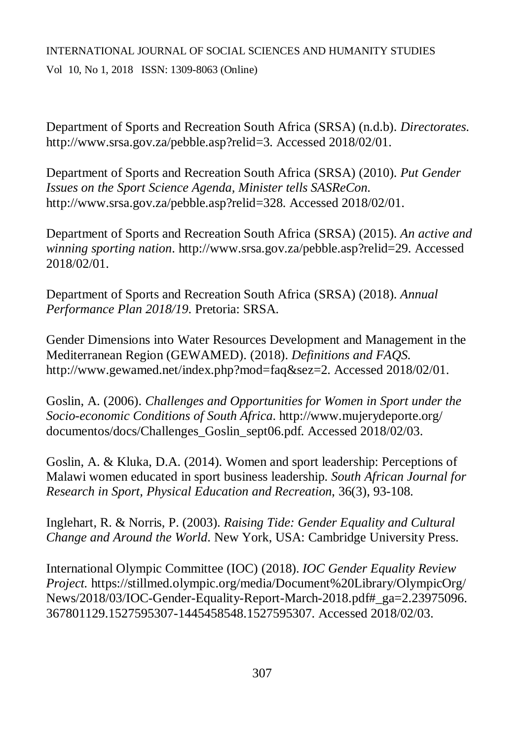# INTERNATIONAL JOURNAL OF SOCIAL SCIENCES AND HUMANITY STUDIES Vol 10, No 1, 2018 ISSN: 1309-8063 (Online)

Department of Sports and Recreation South Africa (SRSA) (n.d.b). *Directorates*. <http://www.srsa.gov.za/pebble.asp?relid=3.>Accessed 2018/02/01.

Department of Sports and Recreation South Africa (SRSA) (2010). *Put Gender Issues on the Sport Science Agenda, Minister tells SASReCon*. <http://www.srsa.gov.za/pebble.asp?relid=328.>Accessed 2018/02/01.

Department of Sports and Recreation South Africa (SRSA) (2015). *An active and winning sporting nation*.<http://www.srsa.gov.za/pebble.asp?relid=29.>Accessed 2018/02/01.

Department of Sports and Recreation South Africa (SRSA) (2018). *Annual Performance Plan 2018/19*. Pretoria: SRSA.

Gender Dimensions into Water Resources Development and Management in the Mediterranean Region (GEWAMED). (2018). *Definitions and FAQS.* <http://www.gewamed.net/index.php?mod=faq&sez=2.>Accessed 2018/02/01.

Goslin, A. (2006). *Challenges and Opportunities for Women in Sport under the Socio-economic Conditions of South Africa*. <http://www.mujerydeporte.org/> documentos/docs/Challenges\_Goslin\_sept06.pdf. Accessed 2018/02/03.

Goslin, A. & Kluka, D.A. (2014). Women and sport leadership: Perceptions of Malawi women educated in sport business leadership. *South African Journal for Research in Sport, Physical Education and Recreation*, 36(3), 93-108.

Inglehart, R. & Norris, P. (2003). *Raising Tide: Gender Equality and Cultural Change and Around the World*. New York, USA: Cambridge University Press.

International Olympic Committee (IOC) (2018). *IOC Gender Equality Review Project.* <https://stillmed.olympic.org/media/Document%20Library/OlympicOrg/> News/2018/03/IOC-Gender-Equality-Report-March-2018.pdf#\_ga=2.23975096. 367801129.1527595307-1445458548.1527595307. Accessed 2018/02/03.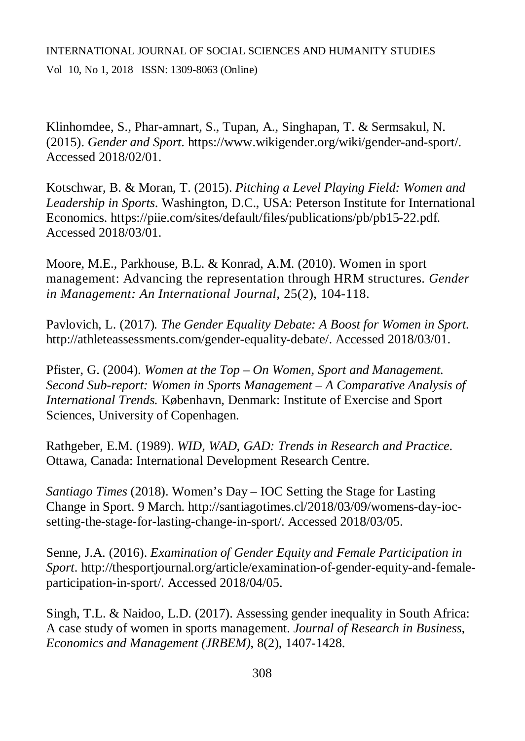Vol 10, No 1, 2018 ISSN: 1309-8063 (Online)

Klinhomdee, S., Phar-amnart, S., Tupan, A., Singhapan, T. & Sermsakul, N. (2015). *Gender and Sport*. <https://www.wikigender.org/wiki/gender-and-sport/.> Accessed 2018/02/01.

Kotschwar, B. & Moran, T. (2015). *Pitching a Level Playing Field: Women and Leadership in Sports*. Washington, D.C., USA: Peterson Institute for International Economics. <https://piie.com/sites/default/files/publications/pb/pb15-22.pdf.> Accessed 2018/03/01.

Moore, M.E., Parkhouse, B.L. & Konrad, A.M. (2010). Women in sport management: Advancing the representation through HRM structures. *Gender in Management: An International Journal*, 25(2), 104-118.

Pavlovich, L. (2017)*. The Gender Equality Debate: A Boost for Women in Sport.*  <http://athleteassessments.com/gender-equality-debate/.> Accessed 2018/03/01.

Pfister, G. (2004). *Women at the Top – On Women, Sport and Management. Second Sub-report: Women in Sports Management – A Comparative Analysis of International Trends.* København, Denmark: Institute of Exercise and Sport Sciences, University of Copenhagen.

Rathgeber, E.M. (1989). *WID, WAD, GAD: Trends in Research and Practice*. Ottawa, Canada: International Development Research Centre.

*Santiago Times* (2018). Women's Day – IOC Setting the Stage for Lasting Change in Sport. 9 March. [http://santiagotimes.cl/2018/03/09/womens-day-ioc](http://santiagotimes.cl/2018/03/09/womens-day-ioc-)setting-the-stage-for-lasting-change-in-sport/. Accessed 2018/03/05.

Senne, J.A. (2016). *Examination of Gender Equity and Female Participation in Sport*. [http://thesportjournal.org/article/examination-of-gender-equity-and-female](http://thesportjournal.org/article/examination-of-gender-equity-and-female-)participation-in-sport/. Accessed 2018/04/05.

Singh, T.L. & Naidoo, L.D. (2017). Assessing gender inequality in South Africa: A case study of women in sports management. *Journal of Research in Business, Economics and Management (JRBEM)*, 8(2), 1407-1428.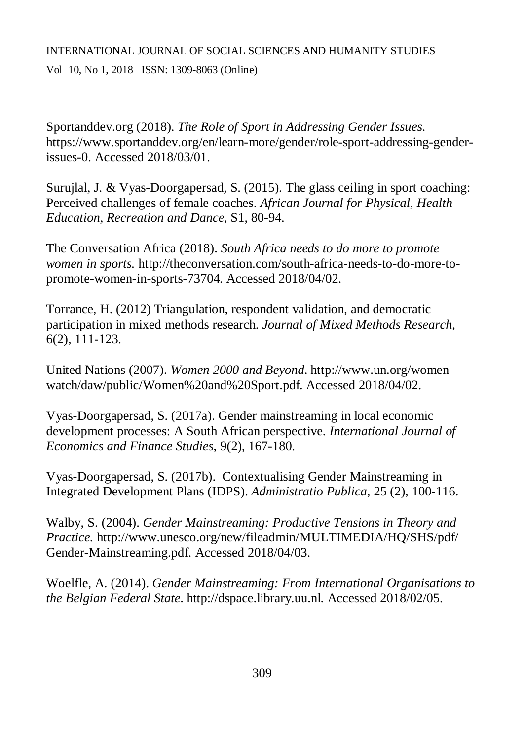Vol 10, No 1, 2018 ISSN: 1309-8063 (Online)

Sportanddev.org (2018). *The Role of Sport in Addressing Gender Issues*. [https://www.sportanddev.org/en/learn-more/gender/role-sport-addressing-gender](https://www.sportanddev.org/en/learn-more/gender/role-sport-addressing-gender-)issues-0. Accessed 2018/03/01.

Surujlal, J. & Vyas-Doorgapersad, S. (2015). The glass ceiling in sport coaching: Perceived challenges of female coaches. *African Journal for Physical, Health Education, Recreation and Dance*, S1, 80-94.

The Conversation Africa (2018). *South Africa needs to do more to promote women in sports.* [http://theconversation.com/south-africa-needs-to-do-more-to](http://theconversation.com/south-africa-needs-to-do-more-to-)promote-women-in-sports-73704. Accessed 2018/04/02.

Torrance, H. (2012) Triangulation, respondent validation, and democratic participation in mixed methods research. *Journal of Mixed Methods Research*, 6(2), 111-123.

United Nations (2007). *Women 2000 and Beyond*.<http://www.un.org/women> watch/daw/public/Women%20and%20Sport.pdf. Accessed 2018/04/02.

Vyas-Doorgapersad, S. (2017a). Gender mainstreaming in local economic development processes: A South African perspective. *International Journal of Economics and Finance Studies*, 9(2), 167-180.

Vyas-Doorgapersad, S. (2017b). Contextualising Gender Mainstreaming in Integrated Development Plans (IDPS). *Administratio Publica*, 25 (2), 100-116.

Walby, S. (2004). *Gender Mainstreaming: Productive Tensions in Theory and Practice.* <http://www.unesco.org/new/fileadmin/MULTIMEDIA/HQ/SHS/pdf/> Gender-Mainstreaming.pdf. Accessed 2018/04/03.

Woelfle, A. (2014). *Gender Mainstreaming: From International Organisations to the Belgian Federal State*. <http://dspace.library.uu.nl.> Accessed 2018/02/05.